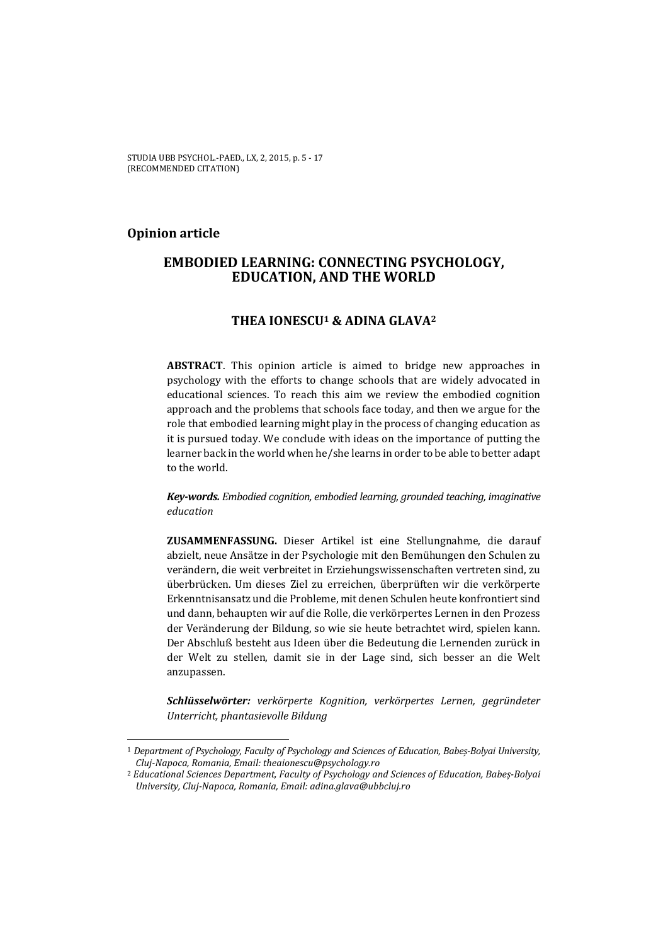## **Opinion article**

 $\overline{a}$ 

# **EMBODIED LEARNING: CONNECTING PSYCHOLOGY, EDUCATION, AND THE WORLD**

## **THEA IONESCU1 & ADINA GLAVA2**

**ABSTRACT**. This opinion article is aimed to bridge new approaches in psychology with the efforts to change schools that are widely advocated in educational sciences. To reach this aim we review the embodied cognition approach and the problems that schools face today, and then we argue for the role that embodied learning might play in the process of changing education as it is pursued today. We conclude with ideas on the importance of putting the learner back in the world when he/she learns in order to be able to better adapt to the world.

*Key-words. Embodied cognition, embodied learning, grounded teaching, imaginative education* 

**ZUSAMMENFASSUNG.** Dieser Artikel ist eine Stellungnahme, die darauf abzielt, neue Ansätze in der Psychologie mit den Bemühungen den Schulen zu verändern, die weit verbreitet in Erziehungswissenschaften vertreten sind, zu überbrücken. Um dieses Ziel zu erreichen, überprüften wir die verkörperte Erkenntnisansatz und die Probleme, mit denen Schulen heute konfrontiert sind und dann, behaupten wir auf die Rolle, die verkörpertes Lernen in den Prozess der Veränderung der Bildung, so wie sie heute betrachtet wird, spielen kann. Der Abschluß besteht aus Ideen über die Bedeutung die Lernenden zurück in der Welt zu stellen, damit sie in der Lage sind, sich besser an die Welt anzupassen.

*Schlüsselwörter: verkörperte Kognition, verkörpertes Lernen, gegründeter Unterricht, phantasievolle Bildung* 

<sup>1</sup> *Department of Psychology, Faculty of Psychology and Sciences of Education, Babeș-Bolyai University, Cluj-Napoca, Romania, Email: theaionescu@psychology.ro*

<sup>2</sup> *Educational Sciences Department, Faculty of Psychology and Sciences of Education, Babeș-Bolyai University, Cluj-Napoca, Romania, Email: adina.glava@ubbcluj.ro*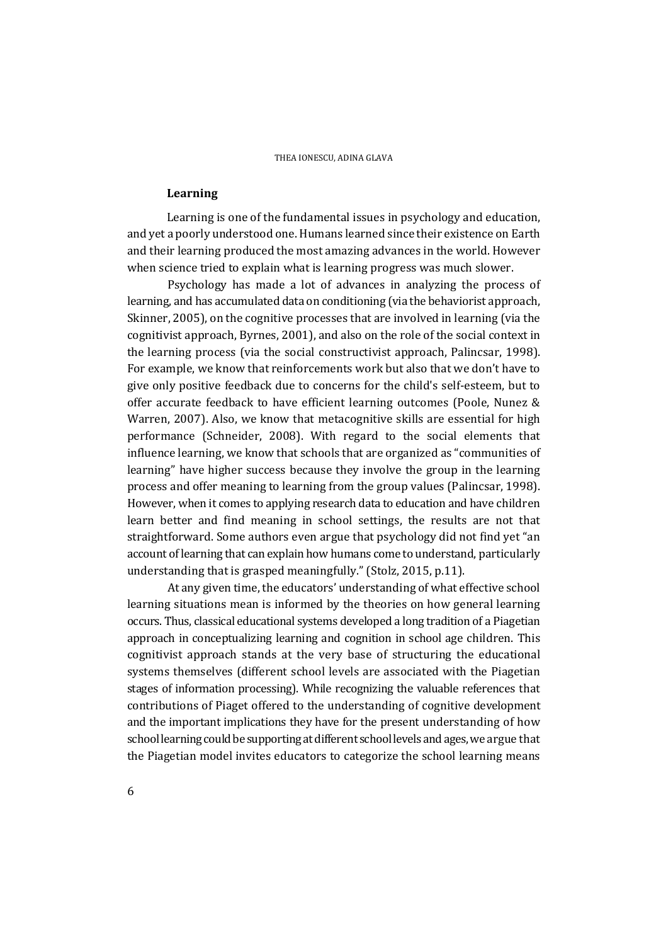#### **Learning**

Learning is one of the fundamental issues in psychology and education, and yet a poorly understood one. Humans learned since their existence on Earth and their learning produced the most amazing advances in the world. However when science tried to explain what is learning progress was much slower.

 Psychology has made a lot of advances in analyzing the process of learning, and has accumulated data on conditioning (via the behaviorist approach, Skinner, 2005), on the cognitive processes that are involved in learning (via the cognitivist approach, Byrnes, 2001), and also on the role of the social context in the learning process (via the social constructivist approach, Palincsar, 1998). For example, we know that reinforcements work but also that we don't have to give only positive feedback due to concerns for the child's self-esteem, but to offer accurate feedback to have efficient learning outcomes (Poole, Nunez & Warren, 2007). Also, we know that metacognitive skills are essential for high performance (Schneider, 2008). With regard to the social elements that influence learning, we know that schools that are organized as "communities of learning" have higher success because they involve the group in the learning process and offer meaning to learning from the group values (Palincsar, 1998). However, when it comes to applying research data to education and have children learn better and find meaning in school settings, the results are not that straightforward. Some authors even argue that psychology did not find yet "an account of learning that can explain how humans come to understand, particularly understanding that is grasped meaningfully." (Stolz, 2015, p.11).

At any given time, the educators' understanding of what effective school learning situations mean is informed by the theories on how general learning occurs. Thus, classical educational systems developed a long tradition of a Piagetian approach in conceptualizing learning and cognition in school age children. This cognitivist approach stands at the very base of structuring the educational systems themselves (different school levels are associated with the Piagetian stages of information processing). While recognizing the valuable references that contributions of Piaget offered to the understanding of cognitive development and the important implications they have for the present understanding of how school learning could be supporting at different school levels and ages, we argue that the Piagetian model invites educators to categorize the school learning means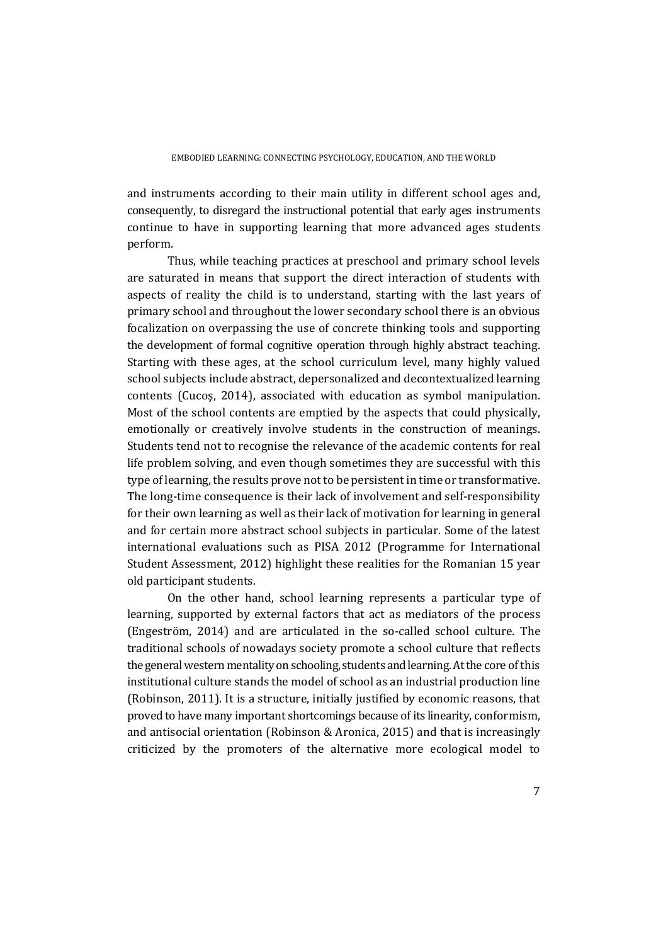and instruments according to their main utility in different school ages and, consequently, to disregard the instructional potential that early ages instruments continue to have in supporting learning that more advanced ages students perform.

Thus, while teaching practices at preschool and primary school levels are saturated in means that support the direct interaction of students with aspects of reality the child is to understand, starting with the last years of primary school and throughout the lower secondary school there is an obvious focalization on overpassing the use of concrete thinking tools and supporting the development of formal cognitive operation through highly abstract teaching. Starting with these ages, at the school curriculum level, many highly valued school subjects include abstract, depersonalized and decontextualized learning contents (Cucoş, 2014), associated with education as symbol manipulation. Most of the school contents are emptied by the aspects that could physically, emotionally or creatively involve students in the construction of meanings. Students tend not to recognise the relevance of the academic contents for real life problem solving, and even though sometimes they are successful with this type of learning, the results prove not to be persistent in time or transformative. The long-time consequence is their lack of involvement and self-responsibility for their own learning as well as their lack of motivation for learning in general and for certain more abstract school subjects in particular. Some of the latest international evaluations such as PISA 2012 (Programme for International Student Assessment, 2012) highlight these realities for the Romanian 15 year old participant students.

On the other hand, school learning represents a particular type of learning, supported by external factors that act as mediators of the process (Engeström, 2014) and are articulated in the so-called school culture. The traditional schools of nowadays society promote a school culture that reflects the general western mentality on schooling, students and learning. At the core of this institutional culture stands the model of school as an industrial production line (Robinson, 2011). It is a structure, initially justified by economic reasons, that proved to have many important shortcomings because of its linearity, conformism, and antisocial orientation (Robinson & Aronica, 2015) and that is increasingly criticized by the promoters of the alternative more ecological model to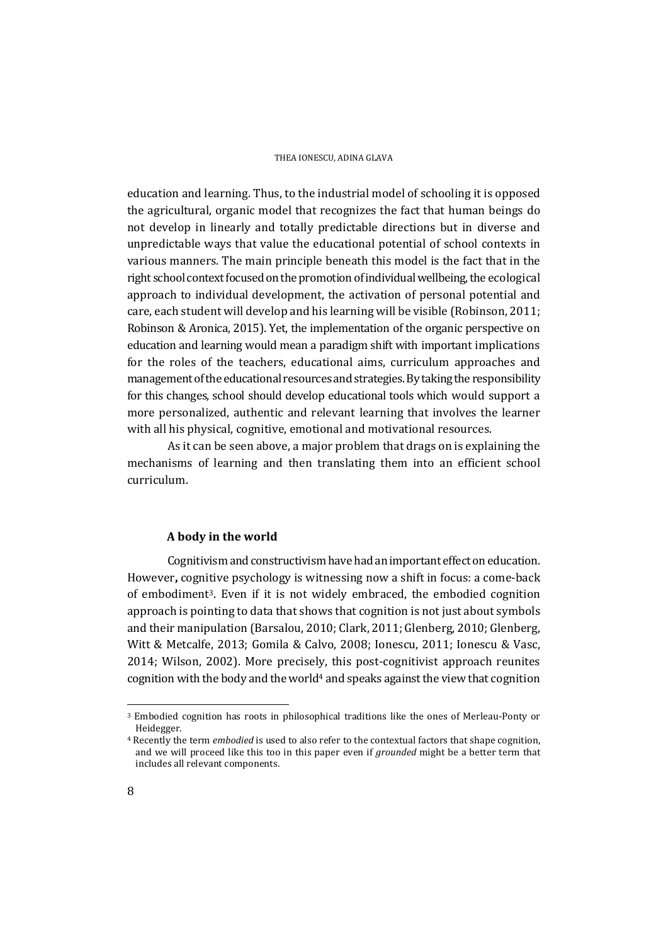education and learning. Thus, to the industrial model of schooling it is opposed the agricultural, organic model that recognizes the fact that human beings do not develop in linearly and totally predictable directions but in diverse and unpredictable ways that value the educational potential of school contexts in various manners. The main principle beneath this model is the fact that in the right school context focused on the promotion of individual wellbeing, the ecological approach to individual development, the activation of personal potential and care, each student will develop and his learning will be visible (Robinson, 2011; Robinson & Aronica, 2015). Yet, the implementation of the organic perspective on education and learning would mean a paradigm shift with important implications for the roles of the teachers, educational aims, curriculum approaches and management of the educational resources and strategies. By taking the responsibility for this changes, school should develop educational tools which would support a more personalized, authentic and relevant learning that involves the learner with all his physical, cognitive, emotional and motivational resources.

 As it can be seen above, a major problem that drags on is explaining the mechanisms of learning and then translating them into an efficient school curriculum.

#### **A body in the world**

Cognitivism and constructivism have had an important effect on education. However**,** cognitive psychology is witnessing now a shift in focus: a come-back of embodiment3. Even if it is not widely embraced, the embodied cognition approach is pointing to data that shows that cognition is not just about symbols and their manipulation (Barsalou, 2010; Clark, 2011; Glenberg, 2010; Glenberg, Witt & Metcalfe, 2013; Gomila & Calvo, 2008; Ionescu, 2011; Ionescu & Vasc, 2014; Wilson, 2002). More precisely, this post-cognitivist approach reunites cognition with the body and the world<sup>4</sup> and speaks against the view that cognition

 $\overline{a}$ 

<sup>3</sup> Embodied cognition has roots in philosophical traditions like the ones of Merleau-Ponty or Heidegger.

<sup>4</sup> Recently the term *embodied* is used to also refer to the contextual factors that shape cognition, and we will proceed like this too in this paper even if *grounded* might be a better term that includes all relevant components.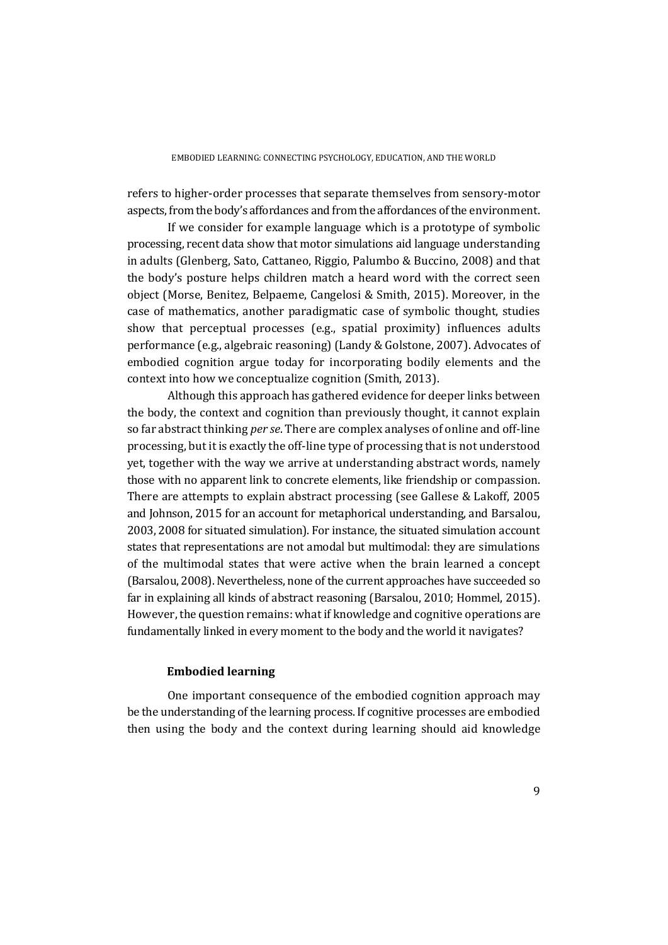refers to higher-order processes that separate themselves from sensory-motor aspects, from the body's affordances and from the affordances of the environment.

 If we consider for example language which is a prototype of symbolic processing, recent data show that motor simulations aid language understanding in adults (Glenberg, Sato, Cattaneo, Riggio, Palumbo & Buccino, 2008) and that the body's posture helps children match a heard word with the correct seen object (Morse, Benitez, Belpaeme, Cangelosi & Smith, 2015). Moreover, in the case of mathematics, another paradigmatic case of symbolic thought, studies show that perceptual processes (e.g., spatial proximity) influences adults performance (e.g., algebraic reasoning) (Landy & Golstone, 2007). Advocates of embodied cognition argue today for incorporating bodily elements and the context into how we conceptualize cognition (Smith, 2013).

 Although this approach has gathered evidence for deeper links between the body, the context and cognition than previously thought, it cannot explain so far abstract thinking *per se*. There are complex analyses of online and off-line processing, but it is exactly the off-line type of processing that is not understood yet, together with the way we arrive at understanding abstract words, namely those with no apparent link to concrete elements, like friendship or compassion. There are attempts to explain abstract processing (see Gallese & Lakoff, 2005 and Johnson, 2015 for an account for metaphorical understanding, and Barsalou, 2003, 2008 for situated simulation). For instance, the situated simulation account states that representations are not amodal but multimodal: they are simulations of the multimodal states that were active when the brain learned a concept (Barsalou, 2008). Nevertheless, none of the current approaches have succeeded so far in explaining all kinds of abstract reasoning (Barsalou, 2010; Hommel, 2015). However, the question remains: what if knowledge and cognitive operations are fundamentally linked in every moment to the body and the world it navigates?

### **Embodied learning**

One important consequence of the embodied cognition approach may be the understanding of the learning process. If cognitive processes are embodied then using the body and the context during learning should aid knowledge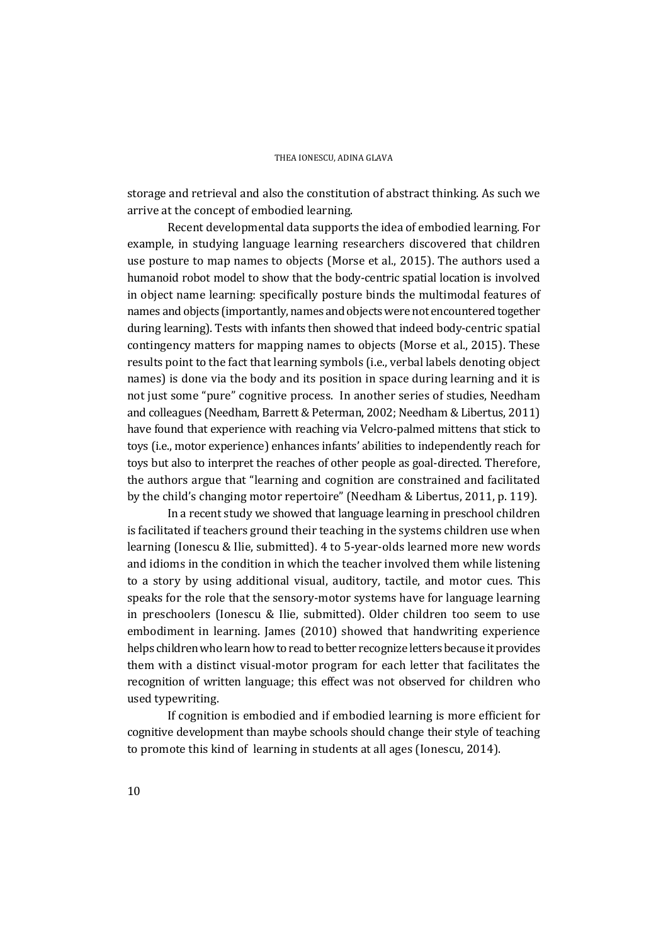storage and retrieval and also the constitution of abstract thinking. As such we arrive at the concept of embodied learning.

 Recent developmental data supports the idea of embodied learning. For example, in studying language learning researchers discovered that children use posture to map names to objects (Morse et al., 2015). The authors used a humanoid robot model to show that the body-centric spatial location is involved in object name learning: specifically posture binds the multimodal features of names and objects (importantly, names and objects were not encountered together during learning). Tests with infants then showed that indeed body-centric spatial contingency matters for mapping names to objects (Morse et al., 2015). These results point to the fact that learning symbols (i.e., verbal labels denoting object names) is done via the body and its position in space during learning and it is not just some "pure" cognitive process. In another series of studies, Needham and colleagues (Needham, Barrett & Peterman, 2002; Needham & Libertus, 2011) have found that experience with reaching via Velcro-palmed mittens that stick to toys (i.e., motor experience) enhances infants' abilities to independently reach for toys but also to interpret the reaches of other people as goal-directed. Therefore, the authors argue that "learning and cognition are constrained and facilitated by the child's changing motor repertoire" (Needham & Libertus, 2011, p. 119).

 In a recent study we showed that language learning in preschool children is facilitated if teachers ground their teaching in the systems children use when learning (Ionescu & Ilie, submitted). 4 to 5-year-olds learned more new words and idioms in the condition in which the teacher involved them while listening to a story by using additional visual, auditory, tactile, and motor cues. This speaks for the role that the sensory-motor systems have for language learning in preschoolers (Ionescu & Ilie, submitted). Older children too seem to use embodiment in learning. James (2010) showed that handwriting experience helps children who learn how to read to better recognize letters because it provides them with a distinct visual-motor program for each letter that facilitates the recognition of written language; this effect was not observed for children who used typewriting.

 If cognition is embodied and if embodied learning is more efficient for cognitive development than maybe schools should change their style of teaching to promote this kind of learning in students at all ages (Ionescu, 2014).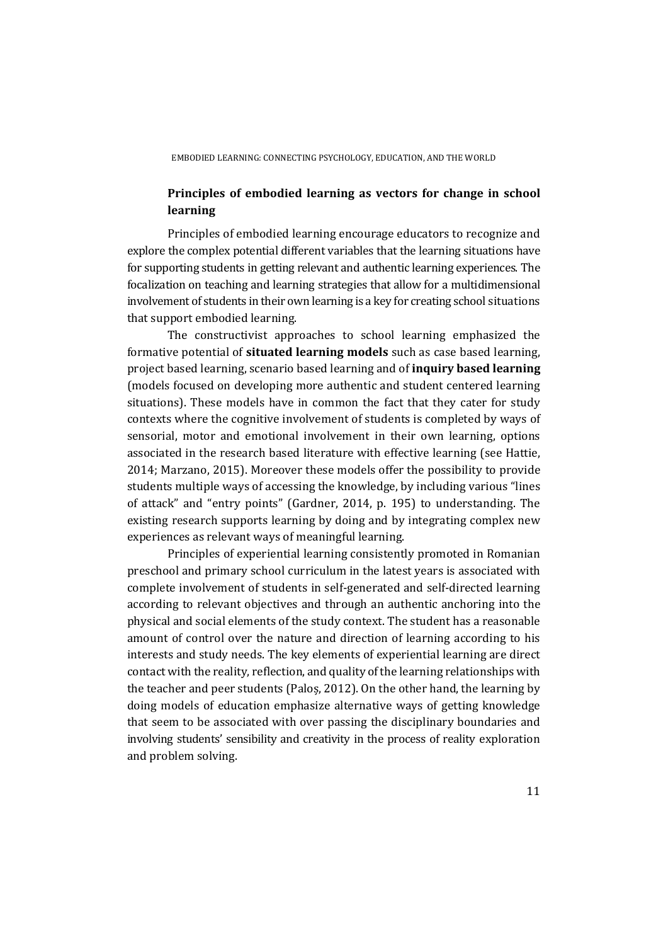# **Principles of embodied learning as vectors for change in school learning**

Principles of embodied learning encourage educators to recognize and explore the complex potential different variables that the learning situations have for supporting students in getting relevant and authentic learning experiences. The focalization on teaching and learning strategies that allow for a multidimensional involvement of students in their own learning is a key for creating school situations that support embodied learning.

 The constructivist approaches to school learning emphasized the formative potential of **situated learning models** such as case based learning, project based learning, scenario based learning and of **inquiry based learning**  (models focused on developing more authentic and student centered learning situations). These models have in common the fact that they cater for study contexts where the cognitive involvement of students is completed by ways of sensorial, motor and emotional involvement in their own learning, options associated in the research based literature with effective learning (see Hattie, 2014; Marzano, 2015). Moreover these models offer the possibility to provide students multiple ways of accessing the knowledge, by including various "lines of attack" and "entry points" (Gardner, 2014, p. 195) to understanding. The existing research supports learning by doing and by integrating complex new experiences as relevant ways of meaningful learning.

Principles of experiential learning consistently promoted in Romanian preschool and primary school curriculum in the latest years is associated with complete involvement of students in self-generated and self-directed learning according to relevant objectives and through an authentic anchoring into the physical and social elements of the study context. The student has a reasonable amount of control over the nature and direction of learning according to his interests and study needs. The key elements of experiential learning are direct contact with the reality, reflection, and quality of the learning relationships with the teacher and peer students (Paloș, 2012). On the other hand, the learning by doing models of education emphasize alternative ways of getting knowledge that seem to be associated with over passing the disciplinary boundaries and involving students' sensibility and creativity in the process of reality exploration and problem solving.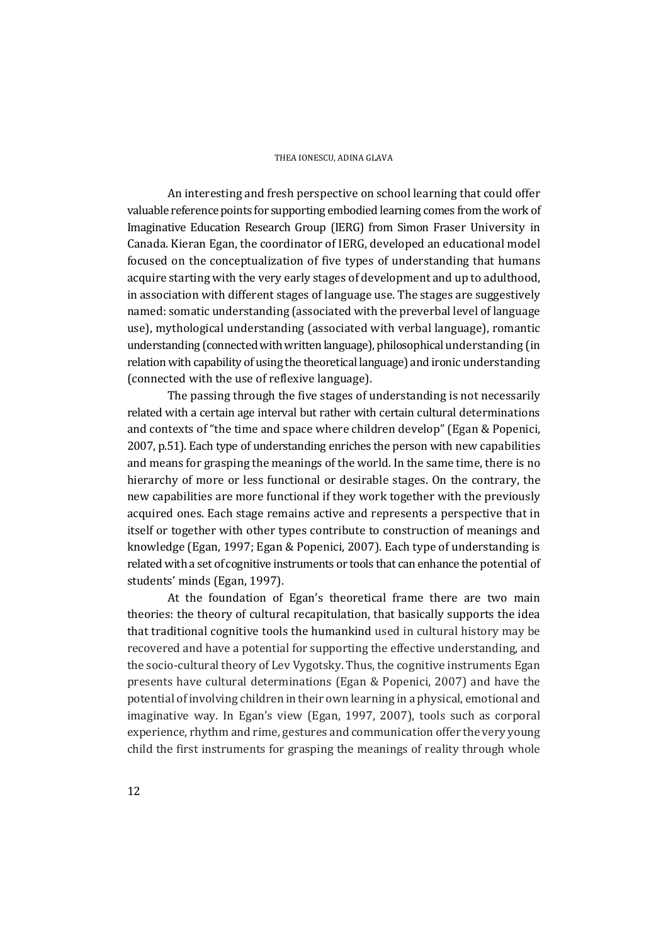An interesting and fresh perspective on school learning that could offer valuable reference points for supporting embodied learning comes from the work of Imaginative Education Research Group (IERG) from Simon Fraser University in Canada. Kieran Egan, the coordinator of IERG, developed an educational model focused on the conceptualization of five types of understanding that humans acquire starting with the very early stages of development and up to adulthood, in association with different stages of language use. The stages are suggestively named: somatic understanding (associated with the preverbal level of language use), mythological understanding (associated with verbal language), romantic understanding (connected with written language), philosophical understanding (in relation with capability of using the theoretical language) and ironic understanding (connected with the use of reflexive language).

The passing through the five stages of understanding is not necessarily related with a certain age interval but rather with certain cultural determinations and contexts of "the time and space where children develop" (Egan & Popenici, 2007, p.51). Each type of understanding enriches the person with new capabilities and means for grasping the meanings of the world. In the same time, there is no hierarchy of more or less functional or desirable stages. On the contrary, the new capabilities are more functional if they work together with the previously acquired ones. Each stage remains active and represents a perspective that in itself or together with other types contribute to construction of meanings and knowledge (Egan, 1997; Egan & Popenici, 2007). Each type of understanding is related with a set of cognitive instruments or tools that can enhance the potential of students' minds (Egan, 1997).

At the foundation of Egan's theoretical frame there are two main theories: the theory of cultural recapitulation, that basically supports the idea that traditional cognitive tools the humankind used in cultural history may be recovered and have a potential for supporting the effective understanding, and the socio-cultural theory of Lev Vygotsky. Thus, the cognitive instruments Egan presents have cultural determinations (Egan & Popenici, 2007) and have the potential of involving children in their own learning in a physical, emotional and imaginative way. In Egan's view (Egan, 1997, 2007), tools such as corporal experience, rhythm and rime, gestures and communication offer the very young child the first instruments for grasping the meanings of reality through whole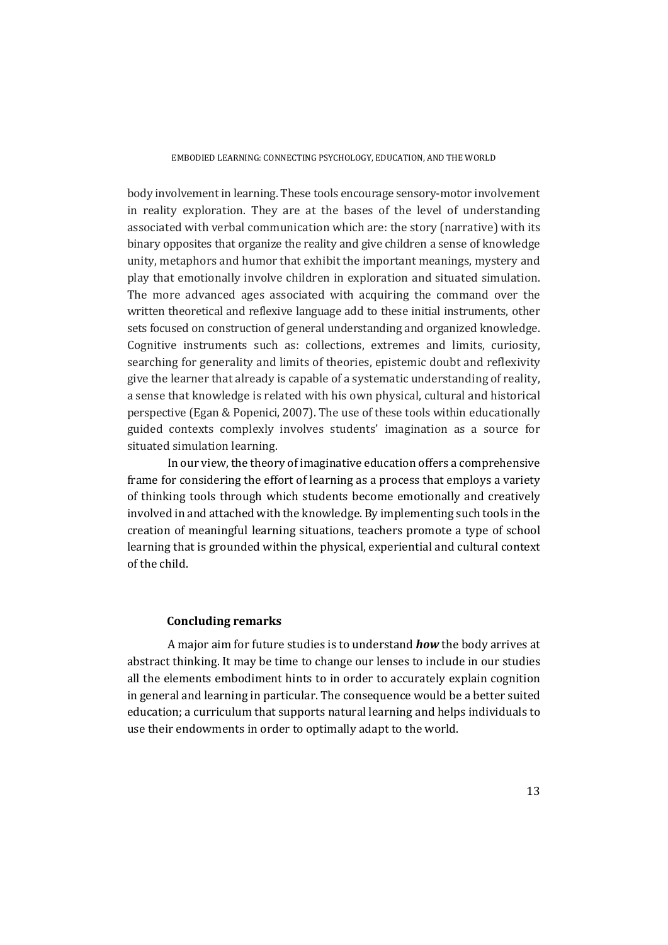body involvement in learning. These tools encourage sensory-motor involvement in reality exploration. They are at the bases of the level of understanding associated with verbal communication which are: the story (narrative) with its binary opposites that organize the reality and give children a sense of knowledge unity, metaphors and humor that exhibit the important meanings, mystery and play that emotionally involve children in exploration and situated simulation. The more advanced ages associated with acquiring the command over the written theoretical and reflexive language add to these initial instruments, other sets focused on construction of general understanding and organized knowledge. Cognitive instruments such as: collections, extremes and limits, curiosity, searching for generality and limits of theories, epistemic doubt and reflexivity give the learner that already is capable of a systematic understanding of reality, a sense that knowledge is related with his own physical, cultural and historical perspective (Egan & Popenici, 2007). The use of these tools within educationally guided contexts complexly involves students' imagination as a source for situated simulation learning.

 In our view, the theory of imaginative education offers a comprehensive frame for considering the effort of learning as a process that employs a variety of thinking tools through which students become emotionally and creatively involved in and attached with the knowledge. By implementing such tools in the creation of meaningful learning situations, teachers promote a type of school learning that is grounded within the physical, experiential and cultural context of the child.

### **Concluding remarks**

A major aim for future studies is to understand *how* the body arrives at abstract thinking. It may be time to change our lenses to include in our studies all the elements embodiment hints to in order to accurately explain cognition in general and learning in particular. The consequence would be a better suited education; a curriculum that supports natural learning and helps individuals to use their endowments in order to optimally adapt to the world.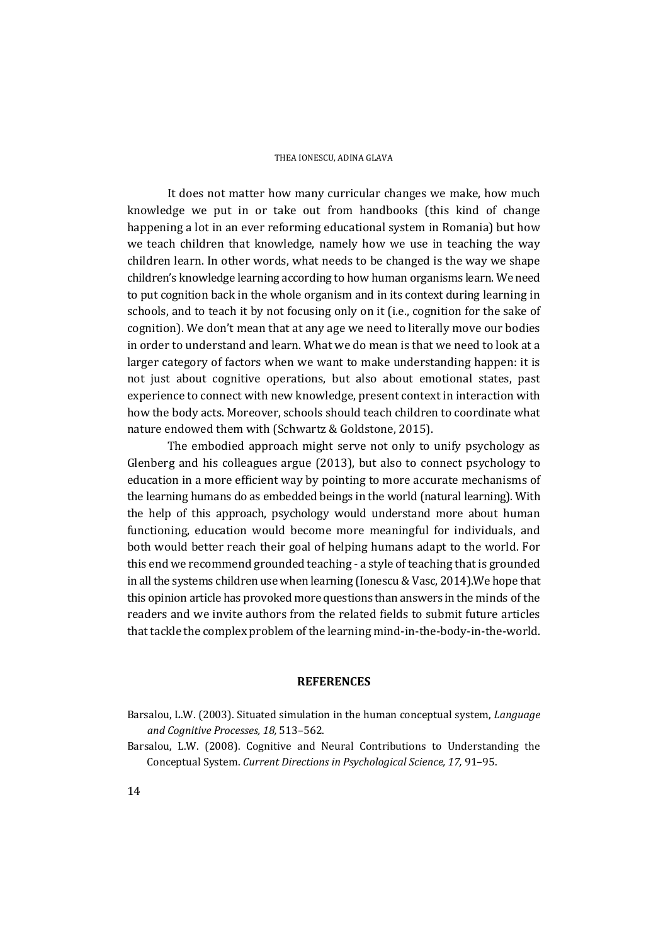It does not matter how many curricular changes we make, how much knowledge we put in or take out from handbooks (this kind of change happening a lot in an ever reforming educational system in Romania) but how we teach children that knowledge, namely how we use in teaching the way children learn. In other words, what needs to be changed is the way we shape children's knowledge learning according to how human organisms learn. We need to put cognition back in the whole organism and in its context during learning in schools, and to teach it by not focusing only on it (i.e., cognition for the sake of cognition). We don't mean that at any age we need to literally move our bodies in order to understand and learn. What we do mean is that we need to look at a larger category of factors when we want to make understanding happen: it is not just about cognitive operations, but also about emotional states, past experience to connect with new knowledge, present context in interaction with how the body acts. Moreover, schools should teach children to coordinate what nature endowed them with (Schwartz & Goldstone, 2015).

 The embodied approach might serve not only to unify psychology as Glenberg and his colleagues argue (2013), but also to connect psychology to education in a more efficient way by pointing to more accurate mechanisms of the learning humans do as embedded beings in the world (natural learning). With the help of this approach, psychology would understand more about human functioning, education would become more meaningful for individuals, and both would better reach their goal of helping humans adapt to the world. For this end we recommend grounded teaching - a style of teaching that is grounded in all the systems children use when learning (Ionescu & Vasc, 2014).We hope that this opinion article has provoked more questions than answers in the minds of the readers and we invite authors from the related fields to submit future articles that tackle the complex problem of the learning mind-in-the-body-in-the-world.

#### **REFERENCES**

Barsalou, L.W. (2008). Cognitive and Neural Contributions to Understanding the Conceptual System. *Current Directions in Psychological Science, 17,* 91–95.

Barsalou, L.W. (2003). Situated simulation in the human conceptual system, *Language and Cognitive Processes, 18,* 513–562.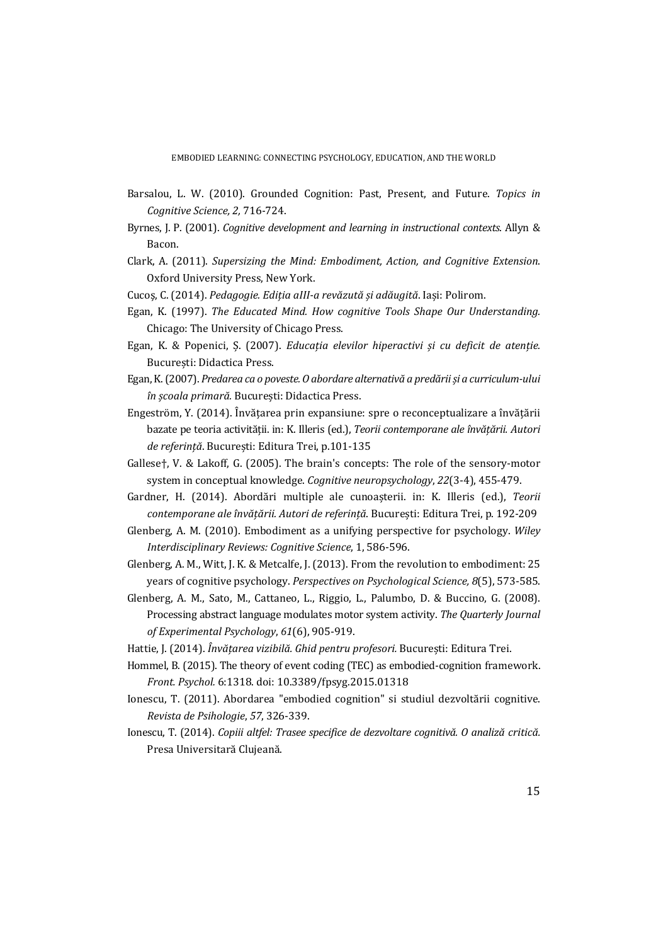EMBODIED LEARNING: CONNECTING PSYCHOLOGY, EDUCATION, AND THE WORLD

- Barsalou, L. W. (2010). Grounded Cognition: Past, Present, and Future. *Topics in Cognitive Science, 2,* 716-724.
- Byrnes, J. P. (2001). *Cognitive development and learning in instructional contexts*. Allyn & Bacon.
- Clark, A. (2011). *Supersizing the Mind: Embodiment, Action, and Cognitive Extension*. Oxford University Press, New York.
- Cucoş, C. (2014). *Pedagogie. Ediția aIII-a revăzută și adăugită*. Iași: Polirom.
- Egan, K. (1997). *The Educated Mind. How cognitive Tools Shape Our Understanding.* Chicago: The University of Chicago Press.
- Egan, K. & Popenici, Ș. (2007). *Educația elevilor hiperactivi și cu deficit de atenție.* București: Didactica Press.
- Egan, K. (2007). *Predarea ca o poveste. O abordare alternativă a predării și a curriculum-ului în școala primară.* București: Didactica Press.
- Engeström, Y. (2014). Învățarea prin expansiune: spre o reconceptualizare a învățării bazate pe teoria activității. in: K. Illeris (ed.), *Teorii contemporane ale învățării. Autori de referință*. București: Editura Trei, p.101-135
- Gallese†, V. & Lakoff, G. (2005). The brain's concepts: The role of the sensory-motor system in conceptual knowledge. *Cognitive neuropsychology*, *22*(3-4), 455-479.
- Gardner, H. (2014). Abordări multiple ale cunoașterii. in: K. Illeris (ed.), *Teorii contemporane ale învățării. Autori de referință*. București: Editura Trei, p. 192-209
- Glenberg, A. M. (2010). Embodiment as a unifying perspective for psychology. *Wiley Interdisciplinary Reviews: Cognitive Science*, 1, 586-596.
- Glenberg, A. M., Witt, J. K. & Metcalfe, J. (2013). From the revolution to embodiment: 25 years of cognitive psychology. *Perspectives on Psychological Science, 8*(5), 573-585.
- Glenberg, A. M., Sato, M., Cattaneo, L., Riggio, L., Palumbo, D. & Buccino, G. (2008). Processing abstract language modulates motor system activity. *The Quarterly Journal of Experimental Psychology*, *61*(6), 905-919.
- Hattie, J. (2014). *Învățarea vizibilă. Ghid pentru profesori.* București: Editura Trei.
- Hommel, B. (2015). The theory of event coding (TEC) as embodied-cognition framework. *Front. Psychol.* 6:1318. doi: 10.3389/fpsyg.2015.01318
- Ionescu, T. (2011). Abordarea "embodied cognition" si studiul dezvoltării cognitive. *Revista de Psihologie*, *57*, 326-339.
- Ionescu, T. (2014). *Copiii altfel: Trasee specifice de dezvoltare cognitivă. O analiză critică.*  Presa Universitară Clujeană.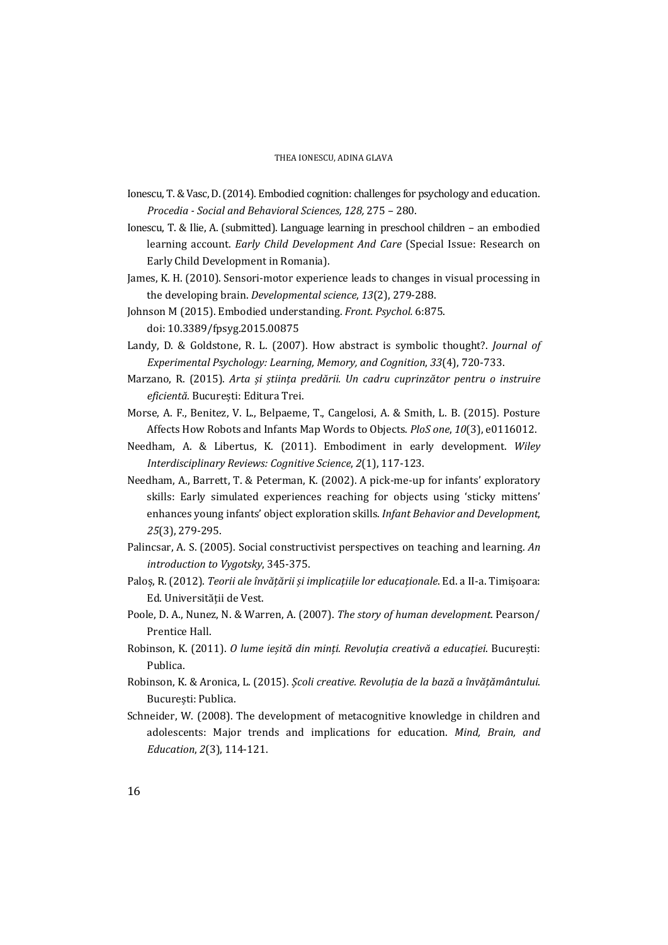- Ionescu, T. & Vasc, D. (2014). Embodied cognition: challenges for psychology and education. *Procedia - Social and Behavioral Sciences, 128,* 275 – 280.
- Ionescu, T. & Ilie, A. (submitted). Language learning in preschool children an embodied learning account. *Early Child Development And Care* (Special Issue: Research on Early Child Development in Romania).
- James, K. H. (2010). Sensori-motor experience leads to changes in visual processing in the developing brain. *Developmental science*, *13*(2), 279-288.
- Johnson M (2015). Embodied understanding. *Front. Psychol.* 6:875. doi: 10.3389/fpsyg.2015.00875
- Landy, D. & Goldstone, R. L. (2007). How abstract is symbolic thought?. *Journal of Experimental Psychology: Learning, Memory, and Cognition*, *33*(4), 720-733.
- Marzano, R. (2015). *Arta și știința predării. Un cadru cuprinzător pentru o instruire eficientă.* București: Editura Trei.
- Morse, A. F., Benitez, V. L., Belpaeme, T., Cangelosi, A. & Smith, L. B. (2015). Posture Affects How Robots and Infants Map Words to Objects. *PloS one*, *10*(3), e0116012.
- Needham, A. & Libertus, K. (2011). Embodiment in early development. *Wiley Interdisciplinary Reviews: Cognitive Science*, *2*(1), 117-123.
- Needham, A., Barrett, T. & Peterman, K. (2002). A pick-me-up for infants' exploratory skills: Early simulated experiences reaching for objects using 'sticky mittens' enhances young infants' object exploration skills. *Infant Behavior and Development*, *25*(3), 279-295.
- Palincsar, A. S. (2005). Social constructivist perspectives on teaching and learning. *An introduction to Vygotsky*, 345-375.
- Paloș, R. (2012). *Teorii ale învățării și implicațiile lor educaționale*. Ed. a II-a. Timișoara: Ed. Universității de Vest.
- Poole, D. A., Nunez, N. & Warren, A. (2007). *The story of human development*. Pearson/ Prentice Hall.
- Robinson, K. (2011). *O lume ieșită din minți. Revoluția creativă a educației*. București: Publica.
- Robinson, K. & Aronica, L. (2015). *Școli creative. Revoluția de la bază a învățământului*. București: Publica.
- Schneider, W. (2008). The development of metacognitive knowledge in children and adolescents: Major trends and implications for education. *Mind, Brain, and Education*, *2*(3), 114-121.